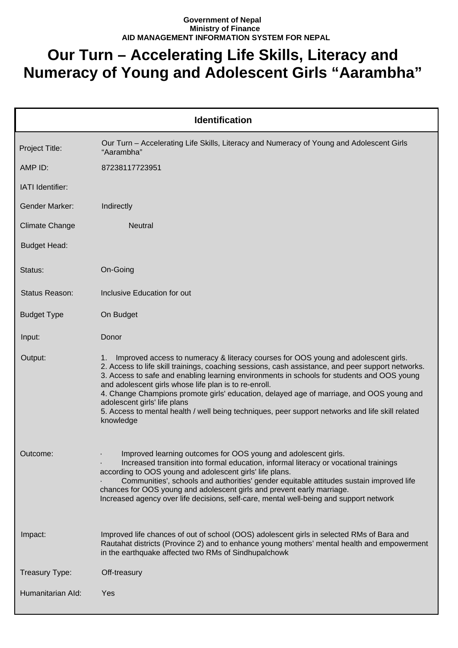## **Government of Nepal Ministry of Finance AID MANAGEMENT INFORMATION SYSTEM FOR NEPAL**

## **Our Turn – Accelerating Life Skills, Literacy and Numeracy of Young and Adolescent Girls "Aarambha"**

| <b>Identification</b> |                                                                                                                                                                                                                                                                                                                                                                                                                                                                                                                                                                                                   |  |
|-----------------------|---------------------------------------------------------------------------------------------------------------------------------------------------------------------------------------------------------------------------------------------------------------------------------------------------------------------------------------------------------------------------------------------------------------------------------------------------------------------------------------------------------------------------------------------------------------------------------------------------|--|
| Project Title:        | Our Turn - Accelerating Life Skills, Literacy and Numeracy of Young and Adolescent Girls<br>"Aarambha"                                                                                                                                                                                                                                                                                                                                                                                                                                                                                            |  |
| AMP ID:               | 87238117723951                                                                                                                                                                                                                                                                                                                                                                                                                                                                                                                                                                                    |  |
| IATI Identifier:      |                                                                                                                                                                                                                                                                                                                                                                                                                                                                                                                                                                                                   |  |
| Gender Marker:        | Indirectly                                                                                                                                                                                                                                                                                                                                                                                                                                                                                                                                                                                        |  |
| <b>Climate Change</b> | <b>Neutral</b>                                                                                                                                                                                                                                                                                                                                                                                                                                                                                                                                                                                    |  |
| <b>Budget Head:</b>   |                                                                                                                                                                                                                                                                                                                                                                                                                                                                                                                                                                                                   |  |
| Status:               | On-Going                                                                                                                                                                                                                                                                                                                                                                                                                                                                                                                                                                                          |  |
| Status Reason:        | Inclusive Education for out                                                                                                                                                                                                                                                                                                                                                                                                                                                                                                                                                                       |  |
| <b>Budget Type</b>    | On Budget                                                                                                                                                                                                                                                                                                                                                                                                                                                                                                                                                                                         |  |
| Input:                | Donor                                                                                                                                                                                                                                                                                                                                                                                                                                                                                                                                                                                             |  |
| Output:               | Improved access to numeracy & literacy courses for OOS young and adolescent girls.<br>1.<br>2. Access to life skill trainings, coaching sessions, cash assistance, and peer support networks.<br>3. Access to safe and enabling learning environments in schools for students and OOS young<br>and adolescent girls whose life plan is to re-enroll.<br>4. Change Champions promote girls' education, delayed age of marriage, and OOS young and<br>adolescent girls' life plans<br>5. Access to mental health / well being techniques, peer support networks and life skill related<br>knowledge |  |
| Outcome:              | Improved learning outcomes for OOS young and adolescent girls.<br>Increased transition into formal education, informal literacy or vocational trainings<br>according to OOS young and adolescent girls' life plans.<br>Communities', schools and authorities' gender equitable attitudes sustain improved life<br>chances for OOS young and adolescent girls and prevent early marriage.<br>Increased agency over life decisions, self-care, mental well-being and support network                                                                                                                |  |
| Impact:               | Improved life chances of out of school (OOS) adolescent girls in selected RMs of Bara and<br>Rautahat districts (Province 2) and to enhance young mothers' mental health and empowerment<br>in the earthquake affected two RMs of Sindhupalchowk                                                                                                                                                                                                                                                                                                                                                  |  |
| Treasury Type:        | Off-treasury                                                                                                                                                                                                                                                                                                                                                                                                                                                                                                                                                                                      |  |
| Humanitarian Ald:     | Yes                                                                                                                                                                                                                                                                                                                                                                                                                                                                                                                                                                                               |  |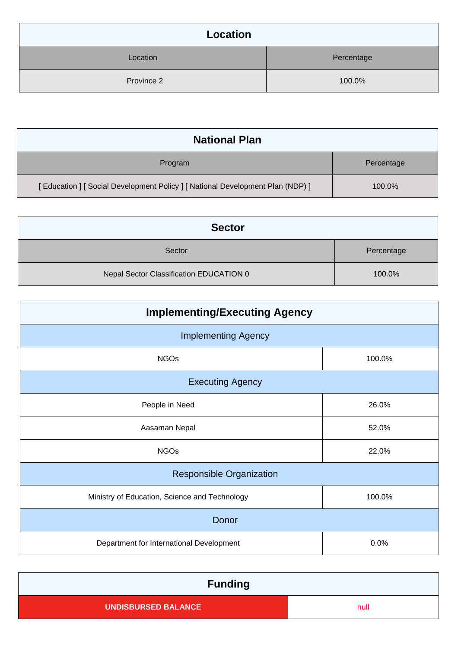| Location   |            |
|------------|------------|
| Location   | Percentage |
| Province 2 | 100.0%     |

| <b>National Plan</b>                                                           |            |
|--------------------------------------------------------------------------------|------------|
| Program                                                                        | Percentage |
| [Education ] [ Social Development Policy ] [ National Development Plan (NDP) ] | 100.0%     |

| <b>Sector</b>                           |            |
|-----------------------------------------|------------|
| Sector                                  | Percentage |
| Nepal Sector Classification EDUCATION 0 | 100.0%     |

| <b>Implementing/Executing Agency</b>          |        |  |
|-----------------------------------------------|--------|--|
| <b>Implementing Agency</b>                    |        |  |
| <b>NGOs</b>                                   | 100.0% |  |
| <b>Executing Agency</b>                       |        |  |
| People in Need                                | 26.0%  |  |
| Aasaman Nepal                                 | 52.0%  |  |
| <b>NGOs</b>                                   | 22.0%  |  |
| <b>Responsible Organization</b>               |        |  |
| Ministry of Education, Science and Technology | 100.0% |  |
| Donor                                         |        |  |
| Department for International Development      | 0.0%   |  |

| <b>Funding</b>             |      |
|----------------------------|------|
| <b>UNDISBURSED BALANCE</b> | null |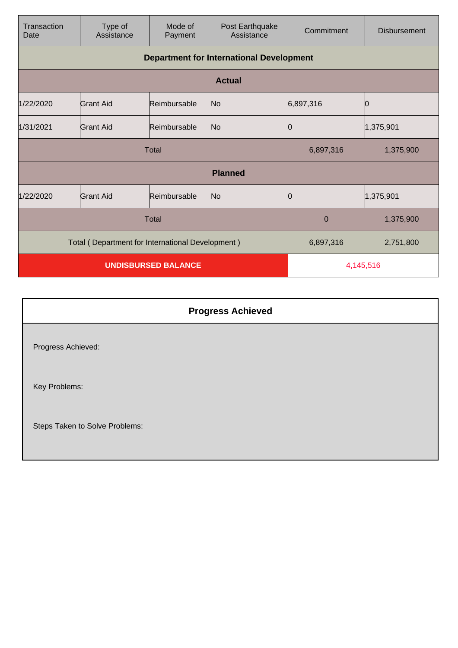| Transaction<br>Date                              | Type of<br>Assistance                           | Mode of<br>Payment | Post Earthquake<br>Assistance | Commitment   | <b>Disbursement</b> |
|--------------------------------------------------|-------------------------------------------------|--------------------|-------------------------------|--------------|---------------------|
|                                                  | <b>Department for International Development</b> |                    |                               |              |                     |
|                                                  |                                                 |                    | <b>Actual</b>                 |              |                     |
| 1/22/2020                                        | <b>Grant Aid</b>                                | Reimbursable       | No                            | 6,897,316    | O                   |
| 1/31/2021                                        | Grant Aid                                       | Reimbursable       | No                            | Ю            | 1,375,901           |
| <b>Total</b>                                     |                                                 |                    | 6,897,316                     | 1,375,900    |                     |
|                                                  |                                                 |                    | <b>Planned</b>                |              |                     |
| 1/22/2020                                        | <b>Grant Aid</b>                                | Reimbursable       | No                            | Ю            | 1,375,901           |
|                                                  |                                                 | <b>Total</b>       |                               | $\mathbf{0}$ | 1,375,900           |
| Total (Department for International Development) |                                                 |                    | 6,897,316                     | 2,751,800    |                     |
| <b>UNDISBURSED BALANCE</b>                       |                                                 |                    | 4,145,516                     |              |                     |

| <b>Progress Achieved</b>       |  |
|--------------------------------|--|
| Progress Achieved:             |  |
| Key Problems:                  |  |
| Steps Taken to Solve Problems: |  |